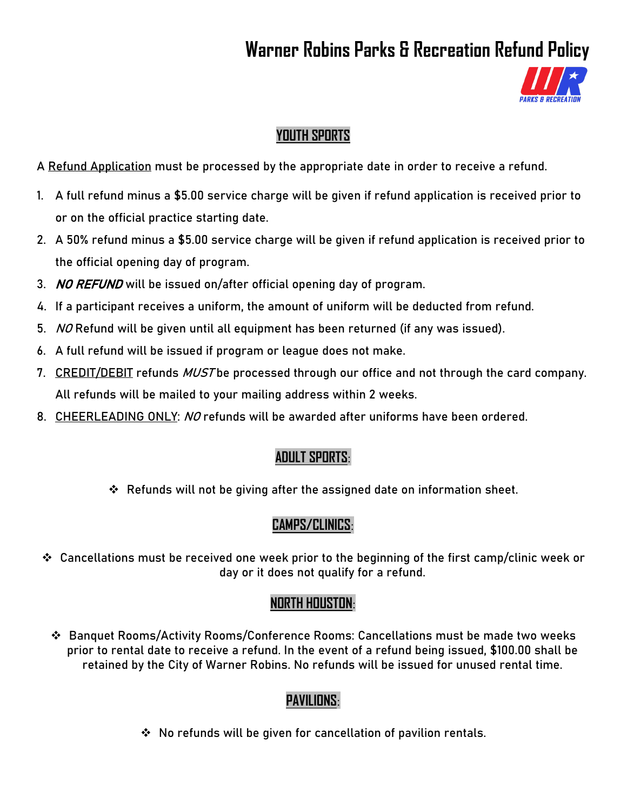# **Warner Robins Parks & Recreation Refund Policy**



#### **YOUTH SPORTS**

A Refund Application must be processed by the appropriate date in order to receive a refund.

- 1. A full refund minus a \$5.00 service charge will be given if refund application is received prior to or on the official practice starting date.
- 2. A 50% refund minus a \$5.00 service charge will be given if refund application is received prior to the official opening day of program.
- 3. NO REFUND will be issued on/after official opening day of program.
- 4. If a participant receives a uniform, the amount of uniform will be deducted from refund.
- 5. NO Refund will be given until all equipment has been returned (if any was issued).
- 6. A full refund will be issued if program or league does not make.
- 7. CREDIT/DEBIT refunds MUST be processed through our office and not through the card company. All refunds will be mailed to your mailing address within 2 weeks.
- 8. CHEERLEADING ONLY: NO refunds will be awarded after uniforms have been ordered.

## **ADULT SPORTS**:

Refunds will not be giving after the assigned date on information sheet.

## **CAMPS/CLINICS**:

 Cancellations must be received one week prior to the beginning of the first camp/clinic week or day or it does not qualify for a refund.

## **NORTH HOUSTON**:

 Banquet Rooms/Activity Rooms/Conference Rooms: Cancellations must be made two weeks prior to rental date to receive a refund. In the event of a refund being issued, \$100.00 shall be retained by the City of Warner Robins. No refunds will be issued for unused rental time.

## **PAVILIONS**:

 $\cdot$  No refunds will be given for cancellation of pavilion rentals.